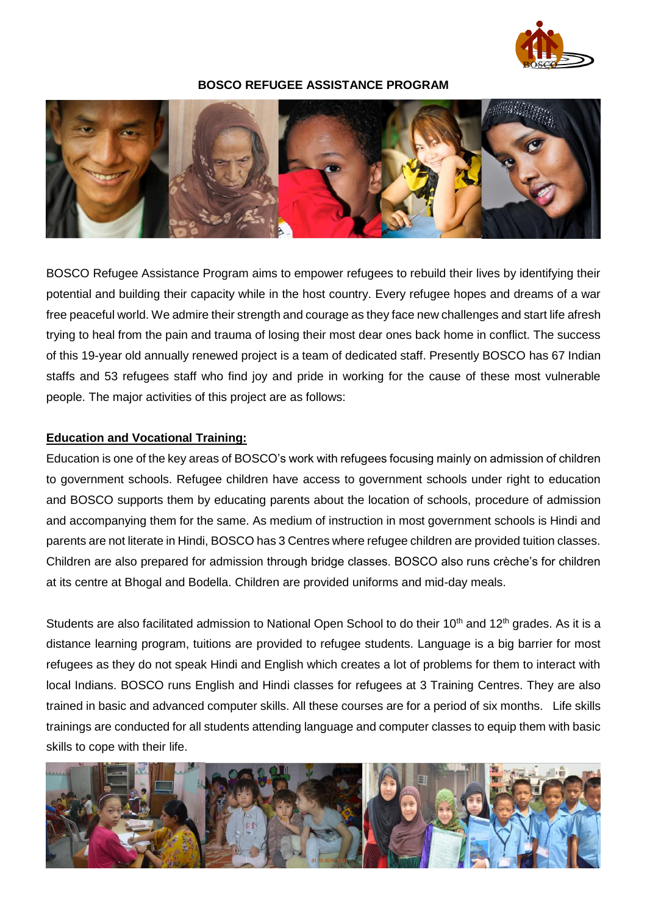

### **BOSCO REFUGEE ASSISTANCE PROGRAM**



BOSCO Refugee Assistance Program aims to empower refugees to rebuild their lives by identifying their potential and building their capacity while in the host country. Every refugee hopes and dreams of a war free peaceful world. We admire their strength and courage as they face new challenges and start life afresh trying to heal from the pain and trauma of losing their most dear ones back home in conflict. The success of this 19-year old annually renewed project is a team of dedicated staff. Presently BOSCO has 67 Indian staffs and 53 refugees staff who find joy and pride in working for the cause of these most vulnerable people. The major activities of this project are as follows:

#### **Education and Vocational Training:**

Education is one of the key areas of BOSCO's work with refugees focusing mainly on admission of children to government schools. Refugee children have access to government schools under right to education and BOSCO supports them by educating parents about the location of schools, procedure of admission and accompanying them for the same. As medium of instruction in most government schools is Hindi and parents are not literate in Hindi, BOSCO has 3 Centres where refugee children are provided tuition classes. Children are also prepared for admission through bridge classes. BOSCO also runs crèche's for children at its centre at Bhogal and Bodella. Children are provided uniforms and mid-day meals.

Students are also facilitated admission to National Open School to do their 10<sup>th</sup> and 12<sup>th</sup> grades. As it is a distance learning program, tuitions are provided to refugee students. Language is a big barrier for most refugees as they do not speak Hindi and English which creates a lot of problems for them to interact with local Indians. BOSCO runs English and Hindi classes for refugees at 3 Training Centres. They are also trained in basic and advanced computer skills. All these courses are for a period of six months. Life skills trainings are conducted for all students attending language and computer classes to equip them with basic skills to cope with their life.

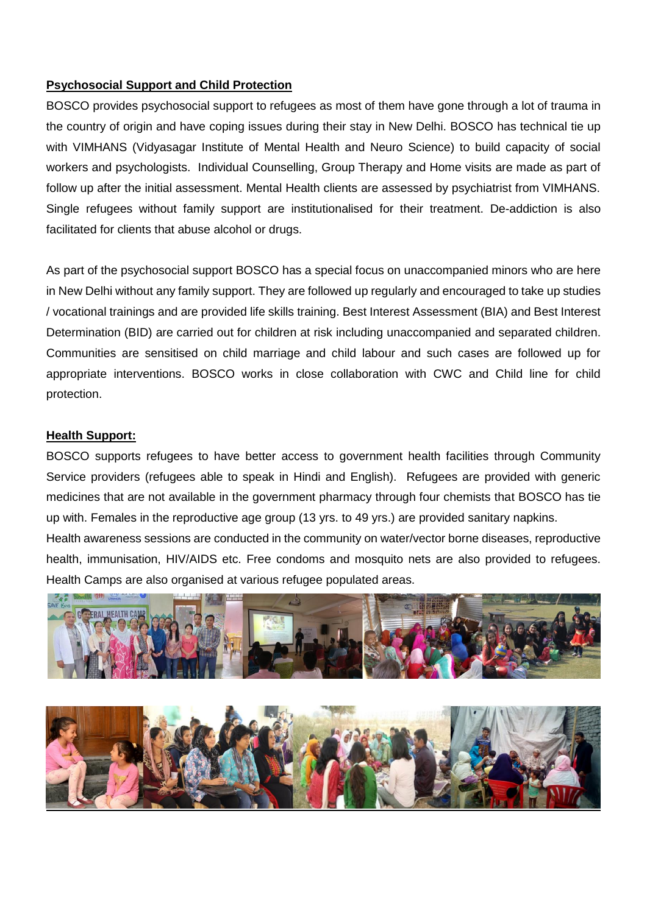## **Psychosocial Support and Child Protection**

BOSCO provides psychosocial support to refugees as most of them have gone through a lot of trauma in the country of origin and have coping issues during their stay in New Delhi. BOSCO has technical tie up with VIMHANS (Vidyasagar Institute of Mental Health and Neuro Science) to build capacity of social workers and psychologists. Individual Counselling, Group Therapy and Home visits are made as part of follow up after the initial assessment. Mental Health clients are assessed by psychiatrist from VIMHANS. Single refugees without family support are institutionalised for their treatment. De-addiction is also facilitated for clients that abuse alcohol or drugs.

As part of the psychosocial support BOSCO has a special focus on unaccompanied minors who are here in New Delhi without any family support. They are followed up regularly and encouraged to take up studies / vocational trainings and are provided life skills training. Best Interest Assessment (BIA) and Best Interest Determination (BID) are carried out for children at risk including unaccompanied and separated children. Communities are sensitised on child marriage and child labour and such cases are followed up for appropriate interventions. BOSCO works in close collaboration with CWC and Child line for child protection.

#### **Health Support:**

BOSCO supports refugees to have better access to government health facilities through Community Service providers (refugees able to speak in Hindi and English). Refugees are provided with generic medicines that are not available in the government pharmacy through four chemists that BOSCO has tie up with. Females in the reproductive age group (13 yrs. to 49 yrs.) are provided sanitary napkins.

Health awareness sessions are conducted in the community on water/vector borne diseases, reproductive health, immunisation, HIV/AIDS etc. Free condoms and mosquito nets are also provided to refugees. Health Camps are also organised at various refugee populated areas.



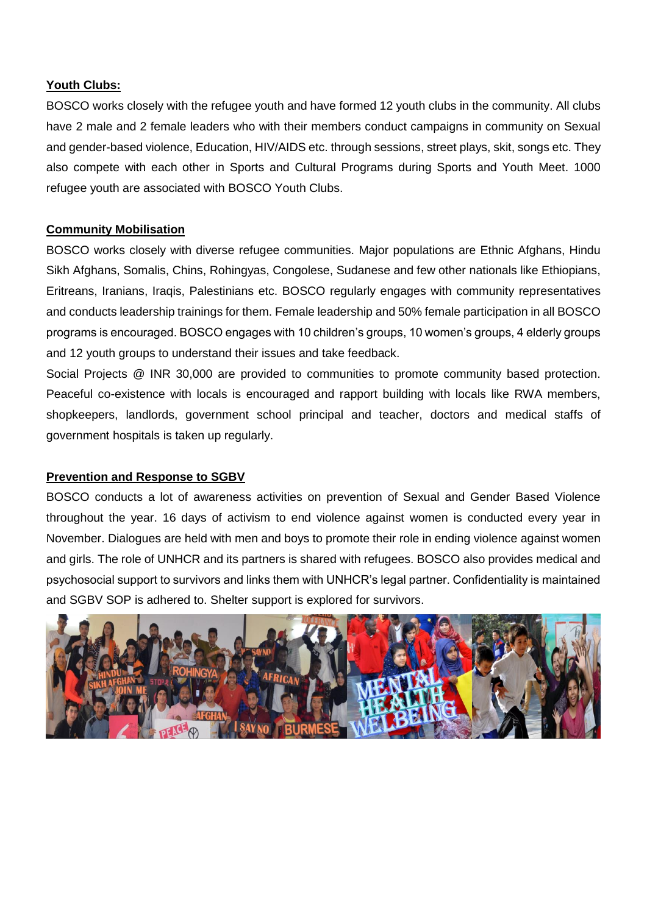## **Youth Clubs:**

BOSCO works closely with the refugee youth and have formed 12 youth clubs in the community. All clubs have 2 male and 2 female leaders who with their members conduct campaigns in community on Sexual and gender-based violence, Education, HIV/AIDS etc. through sessions, street plays, skit, songs etc. They also compete with each other in Sports and Cultural Programs during Sports and Youth Meet. 1000 refugee youth are associated with BOSCO Youth Clubs.

# **Community Mobilisation**

BOSCO works closely with diverse refugee communities. Major populations are Ethnic Afghans, Hindu Sikh Afghans, Somalis, Chins, Rohingyas, Congolese, Sudanese and few other nationals like Ethiopians, Eritreans, Iranians, Iraqis, Palestinians etc. BOSCO regularly engages with community representatives and conducts leadership trainings for them. Female leadership and 50% female participation in all BOSCO programs is encouraged. BOSCO engages with 10 children's groups, 10 women's groups, 4 elderly groups and 12 youth groups to understand their issues and take feedback.

Social Projects @ INR 30,000 are provided to communities to promote community based protection. Peaceful co-existence with locals is encouraged and rapport building with locals like RWA members, shopkeepers, landlords, government school principal and teacher, doctors and medical staffs of government hospitals is taken up regularly.

## **Prevention and Response to SGBV**

BOSCO conducts a lot of awareness activities on prevention of Sexual and Gender Based Violence throughout the year. 16 days of activism to end violence against women is conducted every year in November. Dialogues are held with men and boys to promote their role in ending violence against women and girls. The role of UNHCR and its partners is shared with refugees. BOSCO also provides medical and psychosocial support to survivors and links them with UNHCR's legal partner. Confidentiality is maintained and SGBV SOP is adhered to. Shelter support is explored for survivors.